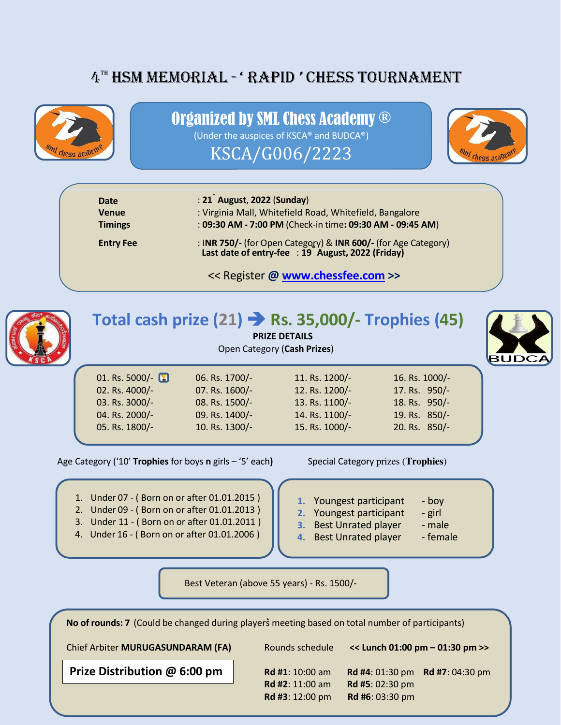# 4<sup>TH</sup> HSM MEMORIAL - 'RAPID ' CHESS TOURNAMENT



### Organized by SML Chess Academy ®

(Under the auspices of KSCA® and BUDCA®)

KSCA/G006/2223



| Date<br><b>Venue</b> | : 21 <sup>"</sup> August, 2022 (Sunday)<br>: Virginia Mall, Whitefield Road, Whitefield, Bangalore                  |
|----------------------|---------------------------------------------------------------------------------------------------------------------|
| <b>Timings</b>       | : 09:30 AM - 7:00 PM (Check-in time: 09:30 AM - 09:45 AM)                                                           |
| <b>Entry Fee</b>     | : INR 750/- (for Open Category) & INR 600/- (for Age Category)<br>Last date of entry-fee : 19 August, 2022 (Friday) |

<< Register **@ [www.chessfee.com](http://www.chessfee.com/) >>**



l

# **Total cash prize (21) Rs. 35,000/- Trophies (45)**

**PRIZE DETAILS** 

Open Category (**Cash Prizes**)

| 01. Rs. 5000/- |  |
|----------------|--|
| 02. Rs. 4000/- |  |
| 03. Rs. 3000/- |  |
| 04. Rs. 2000/- |  |
| 05. Rs. 1800/- |  |
|                |  |

06. Rs. 1700/- 11. Rs. 1200/- 16. Rs. 1000/-07. Rs. 1600/- 12. Rs. 1200/- 17. Rs. 950/-08. Rs. 1500/- 13. Rs. 1100/- 18. Rs. 950/-09. Rs. 1400/- 14. Rs. 1100/- 19. Rs. 850/-05. Rs. 1800/- 10. Rs. 1300/- 15. Rs. 1000/- 20. Rs. 850/-



Age Category ('10' **Trophies** for boys **n** girls – '5' each) Special Category prizes (**Trophies**)

1. Under 07 - (Born on or after 01.01.2015)

- 2. Under 09 ( Born on or after 01.01.2013 )
- 3. Under 11 ( Born on or after 01.01.2011 )
- 4. Under 16 ( Born on or after 01.01.2006 )
- - **1.** Youngest participant boy
	- **2.** Youngest participant girl
	- **3.** Best Unrated player male

**4.** Best Unrated player - female

Best Veteran (above 55 years) - Rs. 1500/-

**No of rounds: 7** (Could be changed during players meeting based on total number of participants) Chief Arbiter **MURUGASUNDARAM (FA)** Rounds schedule **<< Lunch 01:00 pm – 01:30 pm >> Prize Distribution @ 6:00 pm | Rd #1**: 10:00 am Rd #4: 01:30 pm Rd #7: 04:30 pm **Rd #2**: 11:00 am **Rd #5**: 02:30 pm **Rd #3**: 12:00 pm **Rd #6**: 03:30 pm